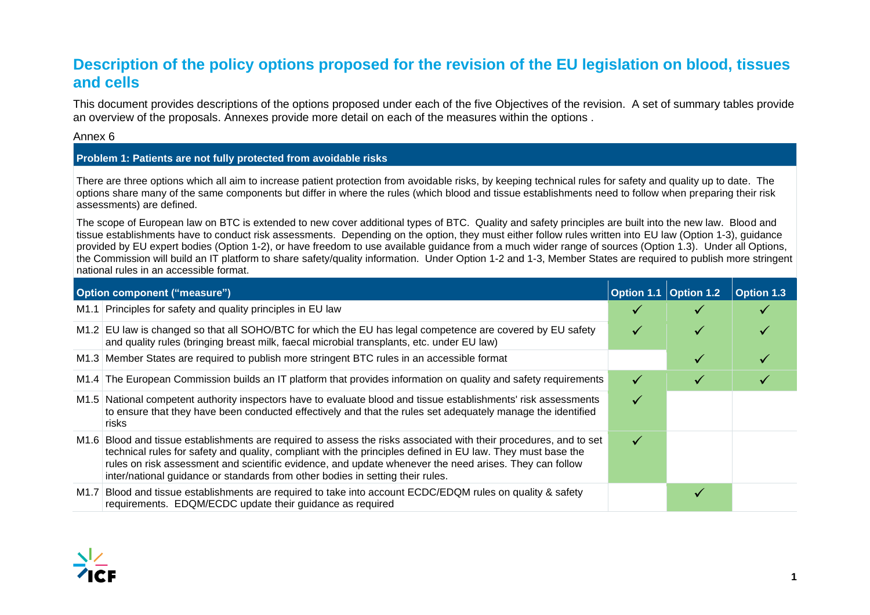### **Description of the policy options proposed for the revision of the EU legislation on blood, tissues and cells**

This document provides descriptions of the options proposed under each of the five Objectives of the revision. A set of summary tables provide an overview of the proposals. Annexes provide more detail on each of the measures within the options .

[Annex 6](#page-19-0)

#### **Problem 1: Patients are not fully protected from avoidable risks**

There are three options which all aim to increase patient protection from avoidable risks, by keeping technical rules for safety and quality up to date. The options share many of the same components but differ in where the rules (which blood and tissue establishments need to follow when preparing their risk assessments) are defined.

The scope of European law on BTC is extended to new cover additional types of BTC. Quality and safety principles are built into the new law. Blood and tissue establishments have to conduct risk assessments. Depending on the option, they must either follow rules written into EU law (Option 1-3), guidance provided by EU expert bodies (Option 1-2), or have freedom to use available guidance from a much wider range of sources (Option 1.3). Under all Options, the Commission will build an IT platform to share safety/quality information. Under Option 1-2 and 1-3, Member States are required to publish more stringent national rules in an accessible format.

| Option component ("measure") |                                                                                                                                                                                                                                                                                                                                                                                                                               | Option 1.1 Option 1.2 | Option 1.3 |
|------------------------------|-------------------------------------------------------------------------------------------------------------------------------------------------------------------------------------------------------------------------------------------------------------------------------------------------------------------------------------------------------------------------------------------------------------------------------|-----------------------|------------|
|                              | M1.1 Principles for safety and quality principles in EU law                                                                                                                                                                                                                                                                                                                                                                   |                       |            |
|                              | M1.2 EU law is changed so that all SOHO/BTC for which the EU has legal competence are covered by EU safety<br>and quality rules (bringing breast milk, faecal microbial transplants, etc. under EU law)                                                                                                                                                                                                                       |                       |            |
|                              | M1.3 Member States are required to publish more stringent BTC rules in an accessible format                                                                                                                                                                                                                                                                                                                                   |                       |            |
|                              | M1.4 The European Commission builds an IT platform that provides information on quality and safety requirements                                                                                                                                                                                                                                                                                                               |                       |            |
|                              | M1.5 National competent authority inspectors have to evaluate blood and tissue establishments' risk assessments<br>to ensure that they have been conducted effectively and that the rules set adequately manage the identified<br>risks                                                                                                                                                                                       |                       |            |
|                              | M1.6 Blood and tissue establishments are required to assess the risks associated with their procedures, and to set<br>technical rules for safety and quality, compliant with the principles defined in EU law. They must base the<br>rules on risk assessment and scientific evidence, and update whenever the need arises. They can follow<br>inter/national guidance or standards from other bodies in setting their rules. |                       |            |
|                              | M1.7 Blood and tissue establishments are required to take into account ECDC/EDQM rules on quality & safety<br>requirements. EDQM/ECDC update their guidance as required                                                                                                                                                                                                                                                       |                       |            |

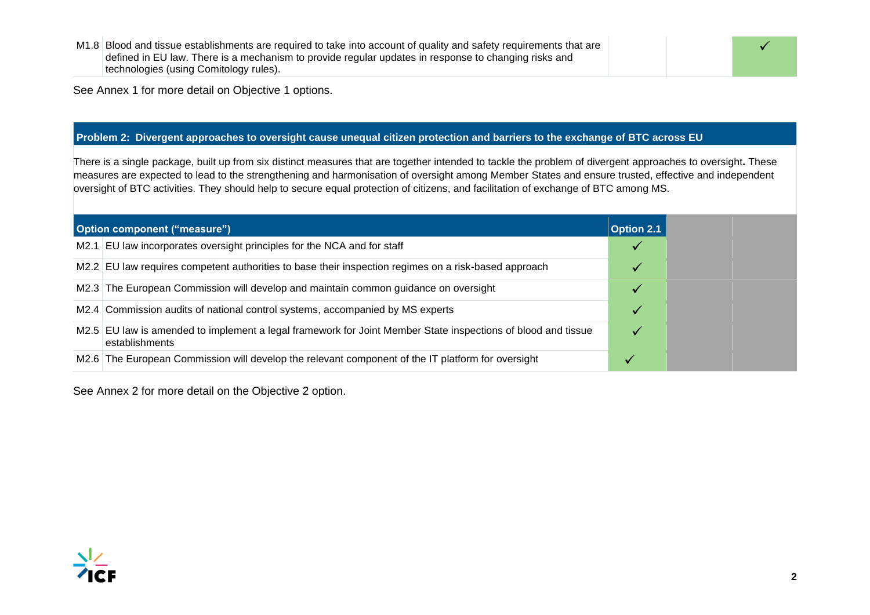M1.8 Blood and tissue establishments are required to take into account of quality and safety requirements that are defined in EU law. There is a mechanism to provide regular updates in response to changing risks and technologies (using Comitology rules).

See [Annex 1](#page-5-0) for more detail on Objective 1 options.

#### **Problem 2: Divergent approaches to oversight cause unequal citizen protection and barriers to the exchange of BTC across EU**

There is a single package, built up from six distinct measures that are together intended to tackle the problem of divergent approaches to oversight**.** These measures are expected to lead to the strengthening and harmonisation of oversight among Member States and ensure trusted, effective and independent oversight of BTC activities. They should help to secure equal protection of citizens, and facilitation of exchange of BTC among MS.

| <b>Option component ("measure")</b>                                                                                            | <b>Option 2.1</b> |
|--------------------------------------------------------------------------------------------------------------------------------|-------------------|
| M2.1 EU law incorporates oversight principles for the NCA and for staff                                                        |                   |
| M2.2 EU law requires competent authorities to base their inspection regimes on a risk-based approach                           |                   |
| M2.3 The European Commission will develop and maintain common guidance on oversight                                            |                   |
| M2.4 Commission audits of national control systems, accompanied by MS experts                                                  |                   |
| M2.5 EU law is amended to implement a legal framework for Joint Member State inspections of blood and tissue<br>establishments |                   |
| M2.6 The European Commission will develop the relevant component of the IT platform for oversight                              |                   |

See [Annex 2](#page-7-0) for more detail on the Objective 2 option.



✓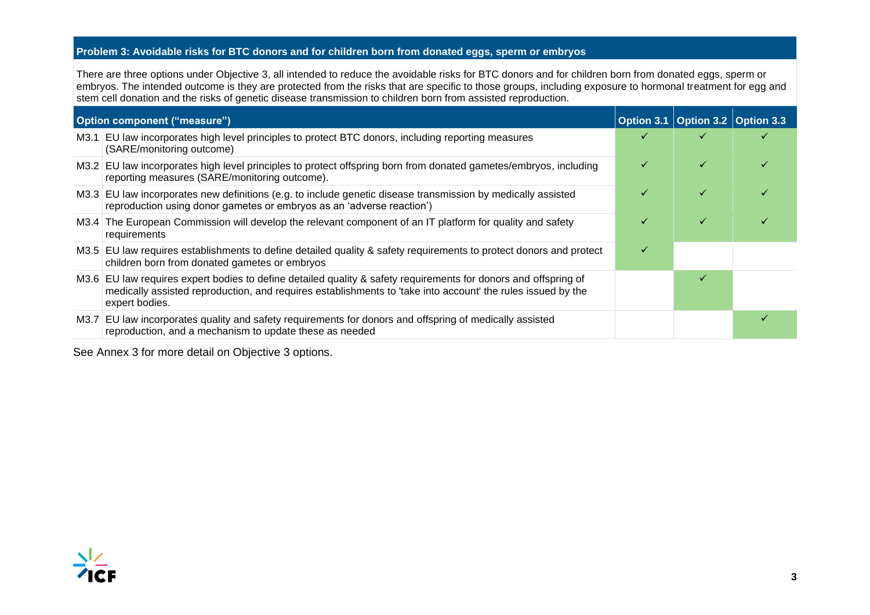#### **Problem 3: Avoidable risks for BTC donors and for children born from donated eggs, sperm or embryos**

There are three options under Objective 3, all intended to reduce the avoidable risks for BTC donors and for children born from donated eggs, sperm or embryos. The intended outcome is they are protected from the risks that are specific to those groups, including exposure to hormonal treatment for egg and stem cell donation and the risks of genetic disease transmission to children born from assisted reproduction.

| <b>Option component ("measure")</b> |                                                                                                                                                                                                                                                  | Option 3.1 Option 3.2 Option 3.3 |  |
|-------------------------------------|--------------------------------------------------------------------------------------------------------------------------------------------------------------------------------------------------------------------------------------------------|----------------------------------|--|
|                                     | M3.1 EU law incorporates high level principles to protect BTC donors, including reporting measures<br>(SARE/monitoring outcome)                                                                                                                  |                                  |  |
|                                     | M3.2 EU law incorporates high level principles to protect offspring born from donated gametes/embryos, including<br>reporting measures (SARE/monitoring outcome).                                                                                |                                  |  |
|                                     | M3.3 EU law incorporates new definitions (e.g. to include genetic disease transmission by medically assisted<br>reproduction using donor gametes or embryos as an 'adverse reaction')                                                            |                                  |  |
|                                     | M3.4 The European Commission will develop the relevant component of an IT platform for quality and safety<br>requirements                                                                                                                        |                                  |  |
|                                     | M3.5 EU law requires establishments to define detailed quality & safety requirements to protect donors and protect<br>children born from donated gametes or embryos                                                                              |                                  |  |
|                                     | M3.6 EU law requires expert bodies to define detailed quality & safety requirements for donors and offspring of<br>medically assisted reproduction, and requires establishments to 'take into account' the rules issued by the<br>expert bodies. |                                  |  |
|                                     | M3.7 EU law incorporates quality and safety requirements for donors and offspring of medically assisted<br>reproduction, and a mechanism to update these as needed                                                                               |                                  |  |

See [Annex 3](#page-10-0) for more detail on Objective 3 options.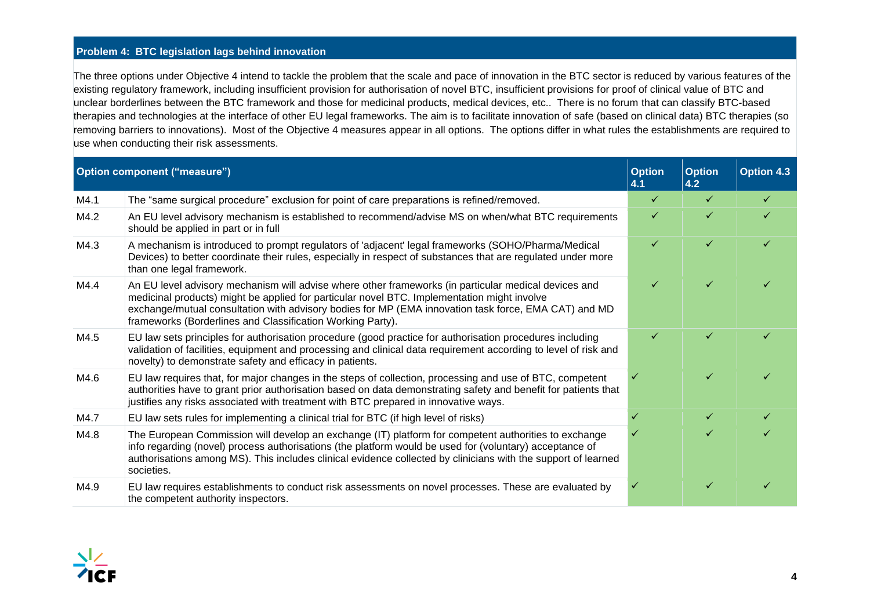#### **Problem 4: BTC legislation lags behind innovation**

The three options under Objective 4 intend to tackle the problem that the scale and pace of innovation in the BTC sector is reduced by various features of the existing regulatory framework, including insufficient provision for authorisation of novel BTC, insufficient provisions for proof of clinical value of BTC and unclear borderlines between the BTC framework and those for medicinal products, medical devices, etc.. There is no forum that can classify BTC-based therapies and technologies at the interface of other EU legal frameworks. The aim is to facilitate innovation of safe (based on clinical data) BTC therapies (so removing barriers to innovations). Most of the Objective 4 measures appear in all options. The options differ in what rules the establishments are required to use when conducting their risk assessments.

| <b>Option component ("measure")</b> |                                                                                                                                                                                                                                                                                                                                                                           | <b>Option</b><br>4.1 | <b>Option</b><br>4.2 | <b>Option 4.3</b> |
|-------------------------------------|---------------------------------------------------------------------------------------------------------------------------------------------------------------------------------------------------------------------------------------------------------------------------------------------------------------------------------------------------------------------------|----------------------|----------------------|-------------------|
| M4.1                                | The "same surgical procedure" exclusion for point of care preparations is refined/removed.                                                                                                                                                                                                                                                                                | ✓                    | ✓                    | ✓                 |
| M4.2                                | An EU level advisory mechanism is established to recommend/advise MS on when/what BTC requirements<br>should be applied in part or in full                                                                                                                                                                                                                                | ✓                    |                      |                   |
| M4.3                                | A mechanism is introduced to prompt regulators of 'adjacent' legal frameworks (SOHO/Pharma/Medical<br>Devices) to better coordinate their rules, especially in respect of substances that are regulated under more<br>than one legal framework.                                                                                                                           | ✓                    | ✓                    |                   |
| M4.4                                | An EU level advisory mechanism will advise where other frameworks (in particular medical devices and<br>medicinal products) might be applied for particular novel BTC. Implementation might involve<br>exchange/mutual consultation with advisory bodies for MP (EMA innovation task force, EMA CAT) and MD<br>frameworks (Borderlines and Classification Working Party). | ✓                    | ✓                    |                   |
| M4.5                                | EU law sets principles for authorisation procedure (good practice for authorisation procedures including<br>validation of facilities, equipment and processing and clinical data requirement according to level of risk and<br>novelty) to demonstrate safety and efficacy in patients.                                                                                   |                      |                      |                   |
| M4.6                                | EU law requires that, for major changes in the steps of collection, processing and use of BTC, competent<br>authorities have to grant prior authorisation based on data demonstrating safety and benefit for patients that<br>justifies any risks associated with treatment with BTC prepared in innovative ways.                                                         |                      |                      |                   |
| M4.7                                | EU law sets rules for implementing a clinical trial for BTC (if high level of risks)                                                                                                                                                                                                                                                                                      | ✓                    | ✓                    | ✓                 |
| M4.8                                | The European Commission will develop an exchange (IT) platform for competent authorities to exchange<br>info regarding (novel) process authorisations (the platform would be used for (voluntary) acceptance of<br>authorisations among MS). This includes clinical evidence collected by clinicians with the support of learned<br>societies.                            | $\checkmark$         |                      |                   |
| M4.9                                | EU law requires establishments to conduct risk assessments on novel processes. These are evaluated by<br>the competent authority inspectors.                                                                                                                                                                                                                              |                      |                      |                   |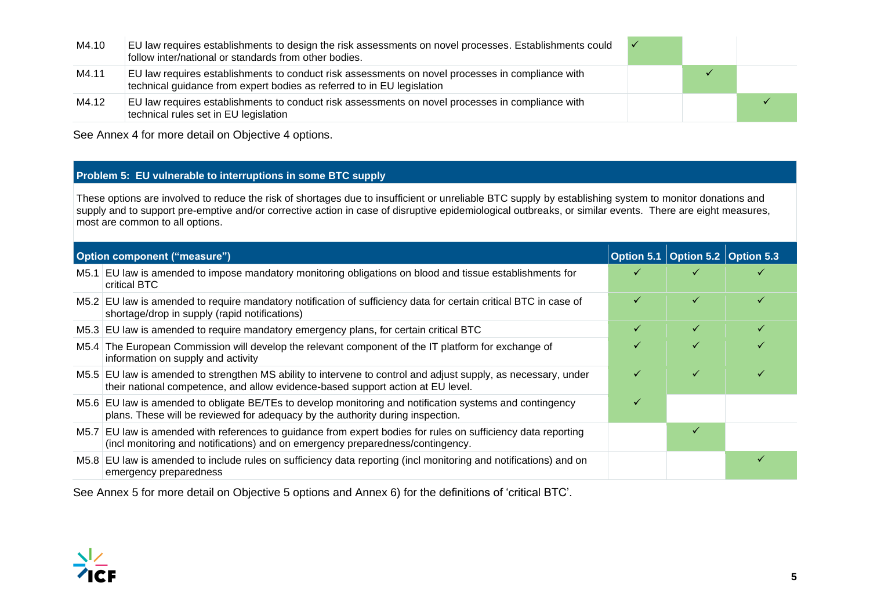| M4.10 | EU law requires establishments to design the risk assessments on novel processes. Establishments could $\checkmark$<br>follow inter/national or standards from other bodies. |  |  |
|-------|------------------------------------------------------------------------------------------------------------------------------------------------------------------------------|--|--|
| M4.11 | EU law requires establishments to conduct risk assessments on novel processes in compliance with<br>technical guidance from expert bodies as referred to in EU legislation   |  |  |
| M4.12 | EU law requires establishments to conduct risk assessments on novel processes in compliance with<br>technical rules set in EU legislation                                    |  |  |

See [Annex 4](#page-12-0) for more detail on Objective 4 options.

#### **Problem 5: EU vulnerable to interruptions in some BTC supply**

These options are involved to reduce the risk of shortages due to insufficient or unreliable BTC supply by establishing system to monitor donations and supply and to support pre-emptive and/or corrective action in case of disruptive epidemiological outbreaks, or similar events. There are eight measures, most are common to all options.

| Option component ("measure") |                                                                                                                                                                                                   |              | Option 5.1 Option 5.2 Option 5.3 |  |
|------------------------------|---------------------------------------------------------------------------------------------------------------------------------------------------------------------------------------------------|--------------|----------------------------------|--|
|                              | M5.1 EU law is amended to impose mandatory monitoring obligations on blood and tissue establishments for<br>critical BTC                                                                          | ✓            |                                  |  |
|                              | M5.2 EU law is amended to require mandatory notification of sufficiency data for certain critical BTC in case of<br>shortage/drop in supply (rapid notifications)                                 | ✓            | ✓                                |  |
|                              | M5.3 EU law is amended to require mandatory emergency plans, for certain critical BTC                                                                                                             | ✓            | ✓                                |  |
|                              | M5.4 The European Commission will develop the relevant component of the IT platform for exchange of<br>information on supply and activity                                                         | ✓            | ✓                                |  |
|                              | M5.5 EU law is amended to strengthen MS ability to intervene to control and adjust supply, as necessary, under<br>their national competence, and allow evidence-based support action at EU level. | $\checkmark$ |                                  |  |
|                              | M5.6 EU law is amended to obligate BE/TEs to develop monitoring and notification systems and contingency<br>plans. These will be reviewed for adequacy by the authority during inspection.        | ✓            |                                  |  |
|                              | M5.7 EU law is amended with references to guidance from expert bodies for rules on sufficiency data reporting<br>(incl monitoring and notifications) and on emergency preparedness/contingency.   |              |                                  |  |
|                              | M5.8 EU law is amended to include rules on sufficiency data reporting (incl monitoring and notifications) and on<br>emergency preparedness                                                        |              |                                  |  |

See [Annex 5](#page-16-0) for more detail on Objective 5 options and [Annex 6\)](#page-19-0) for the definitions of 'critical BTC'.

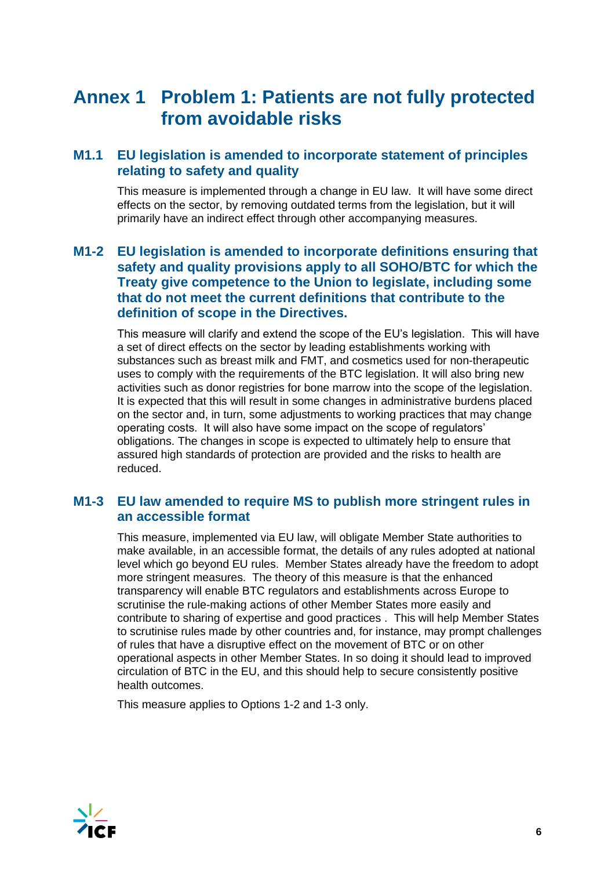## <span id="page-5-0"></span>**Annex 1 Problem 1: Patients are not fully protected from avoidable risks**

### **M1.1 EU legislation is amended to incorporate statement of principles relating to safety and quality**

This measure is implemented through a change in EU law. It will have some direct effects on the sector, by removing outdated terms from the legislation, but it will primarily have an indirect effect through other accompanying measures.

### **M1-2 EU legislation is amended to incorporate definitions ensuring that safety and quality provisions apply to all SOHO/BTC for which the Treaty give competence to the Union to legislate, including some that do not meet the current definitions that contribute to the definition of scope in the Directives.**

This measure will clarify and extend the scope of the EU's legislation. This will have a set of direct effects on the sector by leading establishments working with substances such as breast milk and FMT, and cosmetics used for non-therapeutic uses to comply with the requirements of the BTC legislation. It will also bring new activities such as donor registries for bone marrow into the scope of the legislation. It is expected that this will result in some changes in administrative burdens placed on the sector and, in turn, some adjustments to working practices that may change operating costs. It will also have some impact on the scope of regulators' obligations. The changes in scope is expected to ultimately help to ensure that assured high standards of protection are provided and the risks to health are reduced.

### **M1-3 EU law amended to require MS to publish more stringent rules in an accessible format**

This measure, implemented via EU law, will obligate Member State authorities to make available, in an accessible format, the details of any rules adopted at national level which go beyond EU rules. Member States already have the freedom to adopt more stringent measures. The theory of this measure is that the enhanced transparency will enable BTC regulators and establishments across Europe to scrutinise the rule-making actions of other Member States more easily and contribute to sharing of expertise and good practices . This will help Member States to scrutinise rules made by other countries and, for instance, may prompt challenges of rules that have a disruptive effect on the movement of BTC or on other operational aspects in other Member States. In so doing it should lead to improved circulation of BTC in the EU, and this should help to secure consistently positive health outcomes.

This measure applies to Options 1-2 and 1-3 only.

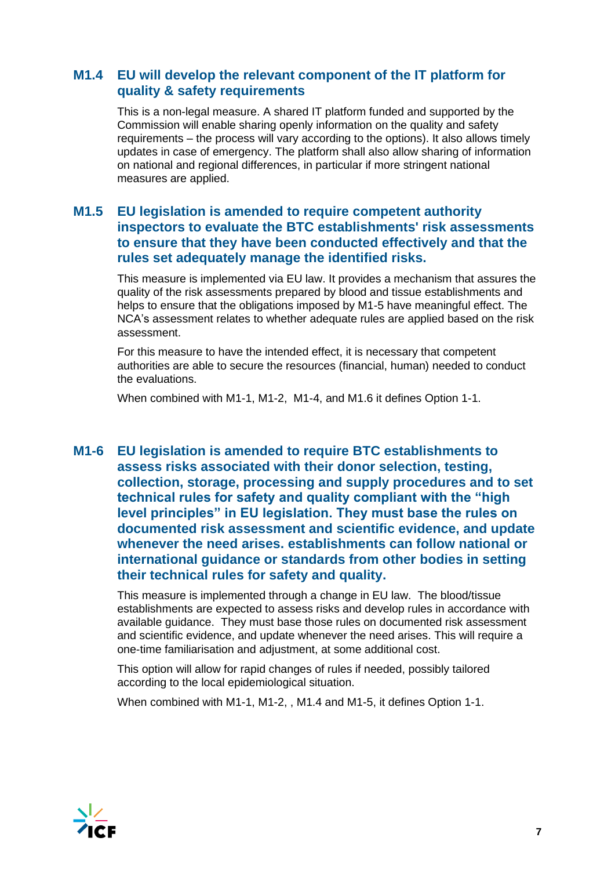### **M1.4 EU will develop the relevant component of the IT platform for quality & safety requirements**

This is a non-legal measure. A shared IT platform funded and supported by the Commission will enable sharing openly information on the quality and safety requirements – the process will vary according to the options). It also allows timely updates in case of emergency. The platform shall also allow sharing of information on national and regional differences, in particular if more stringent national measures are applied.

### **M1.5 EU legislation is amended to require competent authority inspectors to evaluate the BTC establishments' risk assessments to ensure that they have been conducted effectively and that the rules set adequately manage the identified risks.**

This measure is implemented via EU law. It provides a mechanism that assures the quality of the risk assessments prepared by blood and tissue establishments and helps to ensure that the obligations imposed by M1-5 have meaningful effect. The NCA's assessment relates to whether adequate rules are applied based on the risk assessment.

For this measure to have the intended effect, it is necessary that competent authorities are able to secure the resources (financial, human) needed to conduct the evaluations.

When combined with M1-1, M1-2, M1-4, and M1.6 it defines Option 1-1.

**M1-6 EU legislation is amended to require BTC establishments to assess risks associated with their donor selection, testing, collection, storage, processing and supply procedures and to set technical rules for safety and quality compliant with the "high level principles" in EU legislation. They must base the rules on documented risk assessment and scientific evidence, and update whenever the need arises. establishments can follow national or international guidance or standards from other bodies in setting their technical rules for safety and quality.**

This measure is implemented through a change in EU law. The blood/tissue establishments are expected to assess risks and develop rules in accordance with available guidance. They must base those rules on documented risk assessment and scientific evidence, and update whenever the need arises. This will require a one-time familiarisation and adjustment, at some additional cost.

This option will allow for rapid changes of rules if needed, possibly tailored according to the local epidemiological situation.

When combined with M1-1, M1-2, , M1.4 and M1-5, it defines Option 1-1.

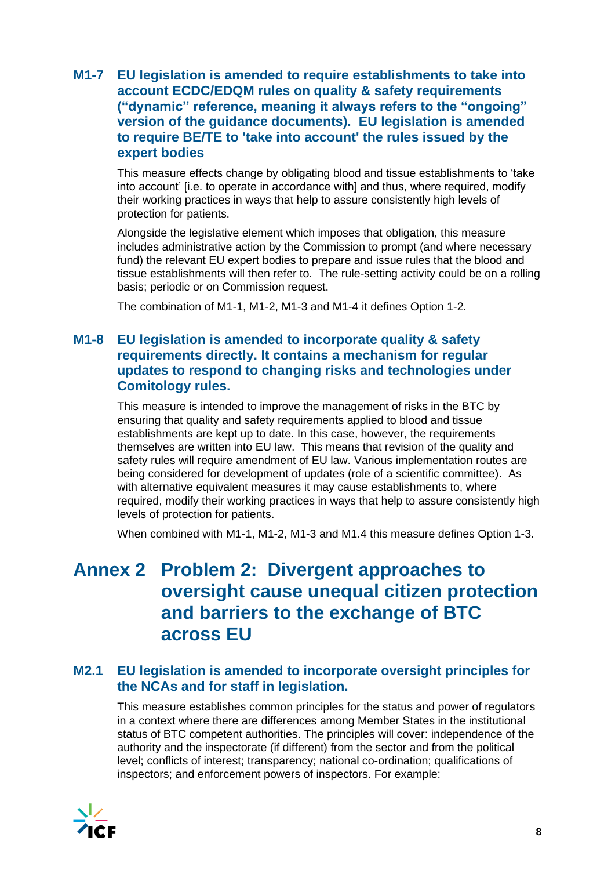### **M1-7 EU legislation is amended to require establishments to take into account ECDC/EDQM rules on quality & safety requirements ("dynamic" reference, meaning it always refers to the "ongoing" version of the guidance documents). EU legislation is amended to require BE/TE to 'take into account' the rules issued by the expert bodies**

This measure effects change by obligating blood and tissue establishments to 'take into account' [i.e. to operate in accordance with] and thus, where required, modify their working practices in ways that help to assure consistently high levels of protection for patients.

Alongside the legislative element which imposes that obligation, this measure includes administrative action by the Commission to prompt (and where necessary fund) the relevant EU expert bodies to prepare and issue rules that the blood and tissue establishments will then refer to. The rule-setting activity could be on a rolling basis; periodic or on Commission request.

The combination of M1-1, M1-2, M1-3 and M1-4 it defines Option 1-2.

### <span id="page-7-0"></span>**M1-8 EU legislation is amended to incorporate quality & safety requirements directly. It contains a mechanism for regular updates to respond to changing risks and technologies under Comitology rules.**

This measure is intended to improve the management of risks in the BTC by ensuring that quality and safety requirements applied to blood and tissue establishments are kept up to date. In this case, however, the requirements themselves are written into EU law. This means that revision of the quality and safety rules will require amendment of EU law. Various implementation routes are being considered for development of updates (role of a scientific committee). As with alternative equivalent measures it may cause establishments to, where required, modify their working practices in ways that help to assure consistently high levels of protection for patients.

When combined with M1-1, M1-2, M1-3 and M1.4 this measure defines Option 1-3.

## **Annex 2 Problem 2: Divergent approaches to oversight cause unequal citizen protection and barriers to the exchange of BTC across EU**

### **M2.1 EU legislation is amended to incorporate oversight principles for the NCAs and for staff in legislation.**

This measure establishes common principles for the status and power of regulators in a context where there are differences among Member States in the institutional status of BTC competent authorities. The principles will cover: independence of the authority and the inspectorate (if different) from the sector and from the political level; conflicts of interest; transparency; national co-ordination; qualifications of inspectors; and enforcement powers of inspectors. For example:

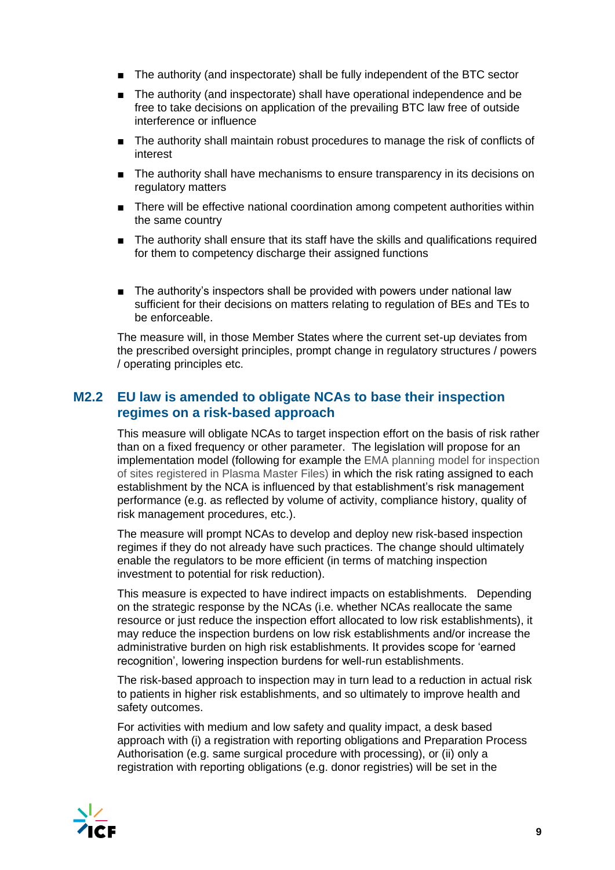- The authority (and inspectorate) shall be fully independent of the BTC sector
- The authority (and inspectorate) shall have operational independence and be free to take decisions on application of the prevailing BTC law free of outside interference or influence
- The authority shall maintain robust procedures to manage the risk of conflicts of interest
- The authority shall have mechanisms to ensure transparency in its decisions on regulatory matters
- There will be effective national coordination among competent authorities within the same country
- The authority shall ensure that its staff have the skills and qualifications required for them to competency discharge their assigned functions
- The authority's inspectors shall be provided with powers under national law sufficient for their decisions on matters relating to regulation of BEs and TEs to be enforceable.

The measure will, in those Member States where the current set-up deviates from the prescribed oversight principles, prompt change in regulatory structures / powers / operating principles etc.

### **M2.2 EU law is amended to obligate NCAs to base their inspection regimes on a risk-based approach**

This measure will obligate NCAs to target inspection effort on the basis of risk rather than on a fixed frequency or other parameter. The legislation will propose for an implementation model (following for example the EMA planning model for inspection of sites registered in Plasma Master Files) in which the risk rating assigned to each establishment by the NCA is influenced by that establishment's risk management performance (e.g. as reflected by volume of activity, compliance history, quality of risk management procedures, etc.).

The measure will prompt NCAs to develop and deploy new risk-based inspection regimes if they do not already have such practices. The change should ultimately enable the regulators to be more efficient (in terms of matching inspection investment to potential for risk reduction).

This measure is expected to have indirect impacts on establishments. Depending on the strategic response by the NCAs (i.e. whether NCAs reallocate the same resource or just reduce the inspection effort allocated to low risk establishments), it may reduce the inspection burdens on low risk establishments and/or increase the administrative burden on high risk establishments. It provides scope for 'earned recognition', lowering inspection burdens for well-run establishments.

The risk-based approach to inspection may in turn lead to a reduction in actual risk to patients in higher risk establishments, and so ultimately to improve health and safety outcomes.

For activities with medium and low safety and quality impact, a desk based approach with (i) a registration with reporting obligations and Preparation Process Authorisation (e.g. same surgical procedure with processing), or (ii) only a registration with reporting obligations (e.g. donor registries) will be set in the

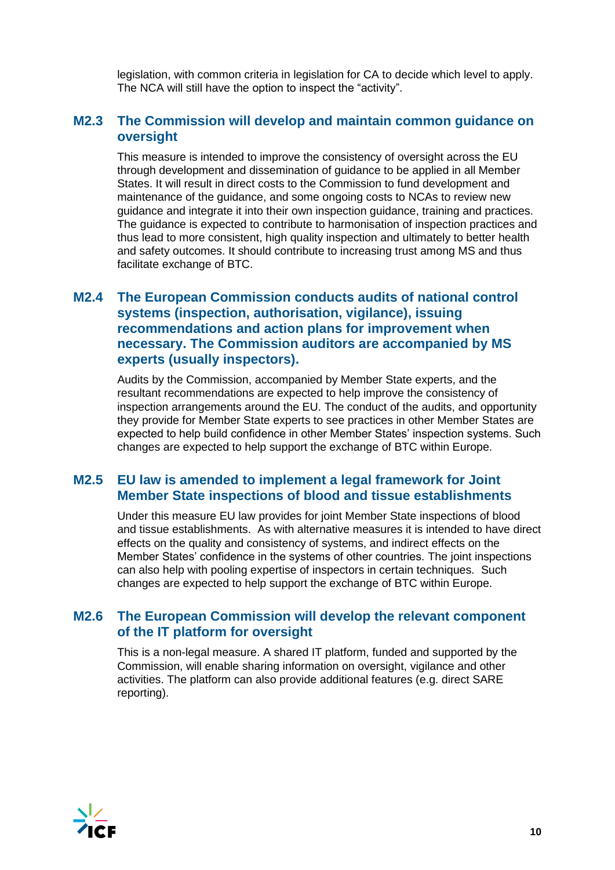legislation, with common criteria in legislation for CA to decide which level to apply. The NCA will still have the option to inspect the "activity".

### **M2.3 The Commission will develop and maintain common guidance on oversight**

This measure is intended to improve the consistency of oversight across the EU through development and dissemination of guidance to be applied in all Member States. It will result in direct costs to the Commission to fund development and maintenance of the guidance, and some ongoing costs to NCAs to review new guidance and integrate it into their own inspection guidance, training and practices. The guidance is expected to contribute to harmonisation of inspection practices and thus lead to more consistent, high quality inspection and ultimately to better health and safety outcomes. It should contribute to increasing trust among MS and thus facilitate exchange of BTC.

### **M2.4 The European Commission conducts audits of national control systems (inspection, authorisation, vigilance), issuing recommendations and action plans for improvement when necessary. The Commission auditors are accompanied by MS experts (usually inspectors).**

Audits by the Commission, accompanied by Member State experts, and the resultant recommendations are expected to help improve the consistency of inspection arrangements around the EU. The conduct of the audits, and opportunity they provide for Member State experts to see practices in other Member States are expected to help build confidence in other Member States' inspection systems. Such changes are expected to help support the exchange of BTC within Europe.

### **M2.5 EU law is amended to implement a legal framework for Joint Member State inspections of blood and tissue establishments**

Under this measure EU law provides for joint Member State inspections of blood and tissue establishments. As with alternative measures it is intended to have direct effects on the quality and consistency of systems, and indirect effects on the Member States' confidence in the systems of other countries. The joint inspections can also help with pooling expertise of inspectors in certain techniques. Such changes are expected to help support the exchange of BTC within Europe.

### **M2.6 The European Commission will develop the relevant component of the IT platform for oversight**

This is a non-legal measure. A shared IT platform, funded and supported by the Commission, will enable sharing information on oversight, vigilance and other activities. The platform can also provide additional features (e.g. direct SARE reporting).

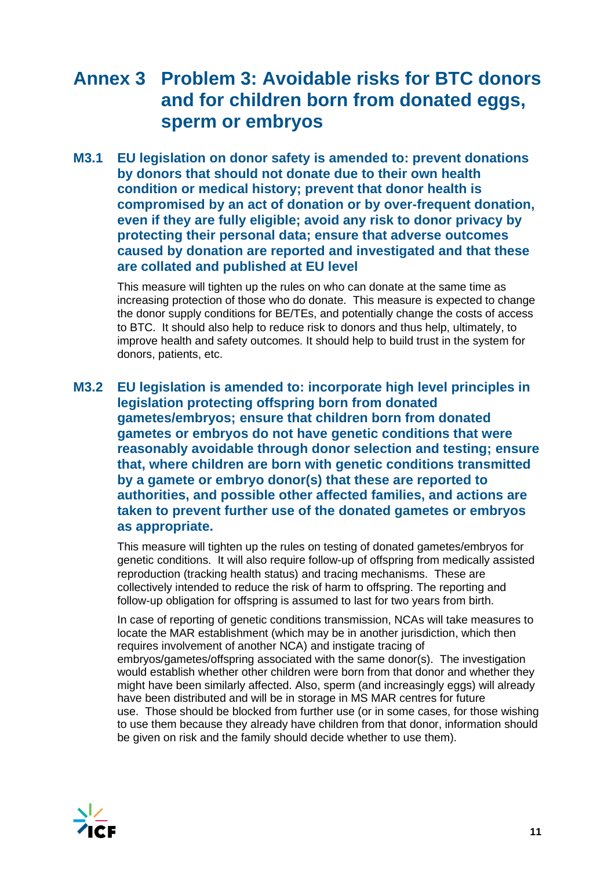## <span id="page-10-0"></span>**Annex 3 Problem 3: Avoidable risks for BTC donors and for children born from donated eggs, sperm or embryos**

**M3.1 EU legislation on donor safety is amended to: prevent donations by donors that should not donate due to their own health condition or medical history; prevent that donor health is compromised by an act of donation or by over-frequent donation, even if they are fully eligible; avoid any risk to donor privacy by protecting their personal data; ensure that adverse outcomes caused by donation are reported and investigated and that these are collated and published at EU level**

This measure will tighten up the rules on who can donate at the same time as increasing protection of those who do donate. This measure is expected to change the donor supply conditions for BE/TEs, and potentially change the costs of access to BTC. It should also help to reduce risk to donors and thus help, ultimately, to improve health and safety outcomes. It should help to build trust in the system for donors, patients, etc.

**M3.2 EU legislation is amended to: incorporate high level principles in legislation protecting offspring born from donated gametes/embryos; ensure that children born from donated gametes or embryos do not have genetic conditions that were reasonably avoidable through donor selection and testing; ensure that, where children are born with genetic conditions transmitted by a gamete or embryo donor(s) that these are reported to authorities, and possible other affected families, and actions are taken to prevent further use of the donated gametes or embryos as appropriate.**

This measure will tighten up the rules on testing of donated gametes/embryos for genetic conditions. It will also require follow-up of offspring from medically assisted reproduction (tracking health status) and tracing mechanisms. These are collectively intended to reduce the risk of harm to offspring. The reporting and follow-up obligation for offspring is assumed to last for two years from birth.

In case of reporting of genetic conditions transmission, NCAs will take measures to locate the MAR establishment (which may be in another jurisdiction, which then requires involvement of another NCA) and instigate tracing of embryos/gametes/offspring associated with the same donor(s). The investigation would establish whether other children were born from that donor and whether they might have been similarly affected. Also, sperm (and increasingly eggs) will already have been distributed and will be in storage in MS MAR centres for future use. Those should be blocked from further use (or in some cases, for those wishing to use them because they already have children from that donor, information should be given on risk and the family should decide whether to use them).

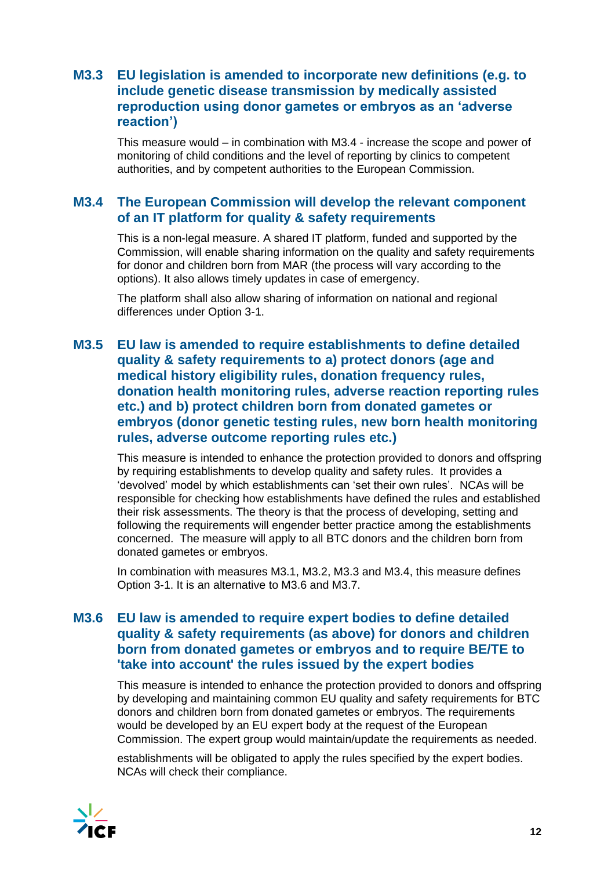### **M3.3 EU legislation is amended to incorporate new definitions (e.g. to include genetic disease transmission by medically assisted reproduction using donor gametes or embryos as an 'adverse reaction')**

This measure would – in combination with M3.4 - increase the scope and power of monitoring of child conditions and the level of reporting by clinics to competent authorities, and by competent authorities to the European Commission.

### **M3.4 The European Commission will develop the relevant component of an IT platform for quality & safety requirements**

This is a non-legal measure. A shared IT platform, funded and supported by the Commission, will enable sharing information on the quality and safety requirements for donor and children born from MAR (the process will vary according to the options). It also allows timely updates in case of emergency.

The platform shall also allow sharing of information on national and regional differences under Option 3-1.

### **M3.5 EU law is amended to require establishments to define detailed quality & safety requirements to a) protect donors (age and medical history eligibility rules, donation frequency rules, donation health monitoring rules, adverse reaction reporting rules etc.) and b) protect children born from donated gametes or embryos (donor genetic testing rules, new born health monitoring rules, adverse outcome reporting rules etc.)**

This measure is intended to enhance the protection provided to donors and offspring by requiring establishments to develop quality and safety rules. It provides a 'devolved' model by which establishments can 'set their own rules'. NCAs will be responsible for checking how establishments have defined the rules and established their risk assessments. The theory is that the process of developing, setting and following the requirements will engender better practice among the establishments concerned. The measure will apply to all BTC donors and the children born from donated gametes or embryos.

In combination with measures M3.1, M3.2, M3.3 and M3.4, this measure defines Option 3-1. It is an alternative to M3.6 and M3.7.

### **M3.6 EU law is amended to require expert bodies to define detailed quality & safety requirements (as above) for donors and children born from donated gametes or embryos and to require BE/TE to 'take into account' the rules issued by the expert bodies**

This measure is intended to enhance the protection provided to donors and offspring by developing and maintaining common EU quality and safety requirements for BTC donors and children born from donated gametes or embryos. The requirements would be developed by an EU expert body at the request of the European Commission. The expert group would maintain/update the requirements as needed.

establishments will be obligated to apply the rules specified by the expert bodies. NCAs will check their compliance.

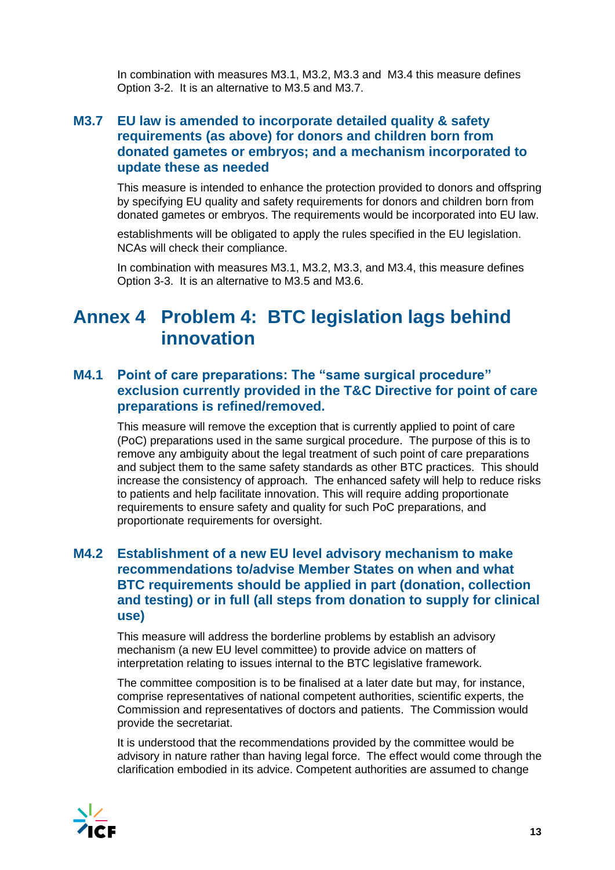<span id="page-12-0"></span>In combination with measures M3.1, M3.2, M3.3 and M3.4 this measure defines Option 3-2. It is an alternative to M3.5 and M3.7.

### **M3.7 EU law is amended to incorporate detailed quality & safety requirements (as above) for donors and children born from donated gametes or embryos; and a mechanism incorporated to update these as needed**

This measure is intended to enhance the protection provided to donors and offspring by specifying EU quality and safety requirements for donors and children born from donated gametes or embryos. The requirements would be incorporated into EU law.

establishments will be obligated to apply the rules specified in the EU legislation. NCAs will check their compliance.

In combination with measures M3.1, M3.2, M3.3, and M3.4, this measure defines Option 3-3. It is an alternative to M3.5 and M3.6.

## **Annex 4 Problem 4: BTC legislation lags behind innovation**

### **M4.1 Point of care preparations: The "same surgical procedure" exclusion currently provided in the T&C Directive for point of care preparations is refined/removed.**

This measure will remove the exception that is currently applied to point of care (PoC) preparations used in the same surgical procedure. The purpose of this is to remove any ambiguity about the legal treatment of such point of care preparations and subject them to the same safety standards as other BTC practices. This should increase the consistency of approach. The enhanced safety will help to reduce risks to patients and help facilitate innovation. This will require adding proportionate requirements to ensure safety and quality for such PoC preparations, and proportionate requirements for oversight.

### **M4.2 Establishment of a new EU level advisory mechanism to make recommendations to/advise Member States on when and what BTC requirements should be applied in part (donation, collection and testing) or in full (all steps from donation to supply for clinical use)**

This measure will address the borderline problems by establish an advisory mechanism (a new EU level committee) to provide advice on matters of interpretation relating to issues internal to the BTC legislative framework.

The committee composition is to be finalised at a later date but may, for instance, comprise representatives of national competent authorities, scientific experts, the Commission and representatives of doctors and patients. The Commission would provide the secretariat.

It is understood that the recommendations provided by the committee would be advisory in nature rather than having legal force. The effect would come through the clarification embodied in its advice. Competent authorities are assumed to change

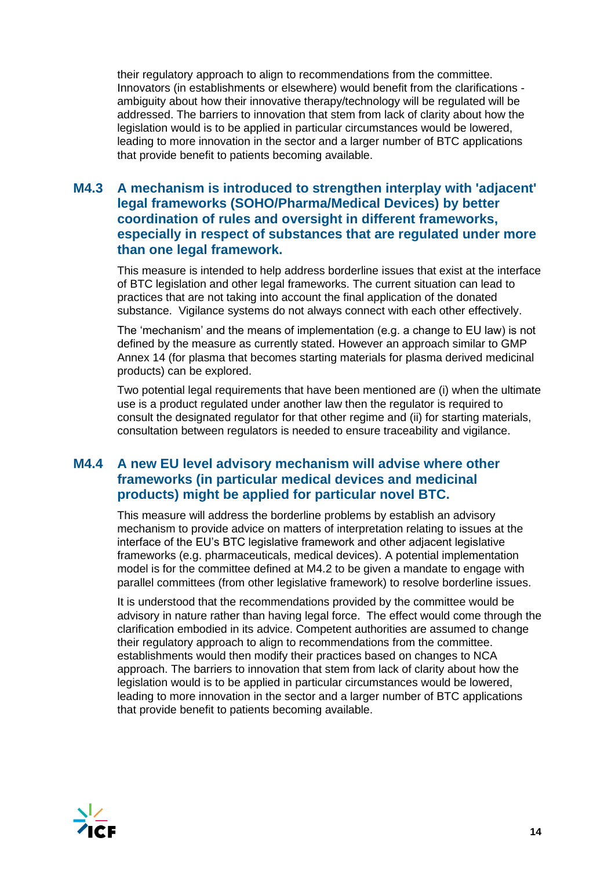their regulatory approach to align to recommendations from the committee. Innovators (in establishments or elsewhere) would benefit from the clarifications ambiguity about how their innovative therapy/technology will be regulated will be addressed. The barriers to innovation that stem from lack of clarity about how the legislation would is to be applied in particular circumstances would be lowered, leading to more innovation in the sector and a larger number of BTC applications that provide benefit to patients becoming available.

### **M4.3 A mechanism is introduced to strengthen interplay with 'adjacent' legal frameworks (SOHO/Pharma/Medical Devices) by better coordination of rules and oversight in different frameworks, especially in respect of substances that are regulated under more than one legal framework.**

This measure is intended to help address borderline issues that exist at the interface of BTC legislation and other legal frameworks. The current situation can lead to practices that are not taking into account the final application of the donated substance. Vigilance systems do not always connect with each other effectively.

The 'mechanism' and the means of implementation (e.g. a change to EU law) is not defined by the measure as currently stated. However an approach similar to GMP Annex 14 (for plasma that becomes starting materials for plasma derived medicinal products) can be explored.

Two potential legal requirements that have been mentioned are (i) when the ultimate use is a product regulated under another law then the regulator is required to consult the designated regulator for that other regime and (ii) for starting materials, consultation between regulators is needed to ensure traceability and vigilance.

### **M4.4 A new EU level advisory mechanism will advise where other frameworks (in particular medical devices and medicinal products) might be applied for particular novel BTC.**

This measure will address the borderline problems by establish an advisory mechanism to provide advice on matters of interpretation relating to issues at the interface of the EU's BTC legislative framework and other adjacent legislative frameworks (e.g. pharmaceuticals, medical devices). A potential implementation model is for the committee defined at M4.2 to be given a mandate to engage with parallel committees (from other legislative framework) to resolve borderline issues.

It is understood that the recommendations provided by the committee would be advisory in nature rather than having legal force. The effect would come through the clarification embodied in its advice. Competent authorities are assumed to change their regulatory approach to align to recommendations from the committee. establishments would then modify their practices based on changes to NCA approach. The barriers to innovation that stem from lack of clarity about how the legislation would is to be applied in particular circumstances would be lowered, leading to more innovation in the sector and a larger number of BTC applications that provide benefit to patients becoming available.

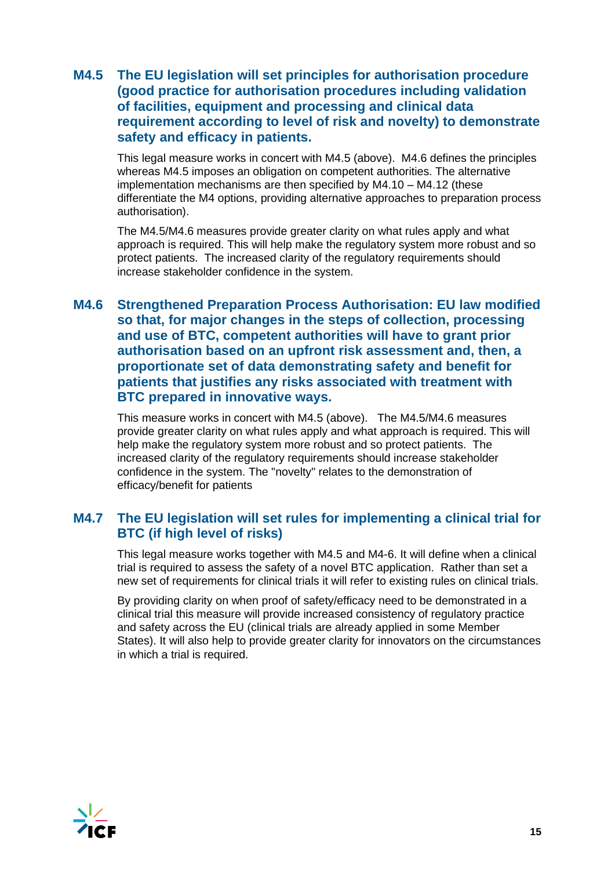### **M4.5 The EU legislation will set principles for authorisation procedure (good practice for authorisation procedures including validation of facilities, equipment and processing and clinical data requirement according to level of risk and novelty) to demonstrate safety and efficacy in patients.**

This legal measure works in concert with M4.5 (above). M4.6 defines the principles whereas M4.5 imposes an obligation on competent authorities. The alternative implementation mechanisms are then specified by M4.10 – M4.12 (these differentiate the M4 options, providing alternative approaches to preparation process authorisation).

The M4.5/M4.6 measures provide greater clarity on what rules apply and what approach is required. This will help make the regulatory system more robust and so protect patients. The increased clarity of the regulatory requirements should increase stakeholder confidence in the system.

### **M4.6 Strengthened Preparation Process Authorisation: EU law modified so that, for major changes in the steps of collection, processing and use of BTC, competent authorities will have to grant prior authorisation based on an upfront risk assessment and, then, a proportionate set of data demonstrating safety and benefit for patients that justifies any risks associated with treatment with BTC prepared in innovative ways.**

This measure works in concert with M4.5 (above). The M4.5/M4.6 measures provide greater clarity on what rules apply and what approach is required. This will help make the regulatory system more robust and so protect patients. The increased clarity of the regulatory requirements should increase stakeholder confidence in the system. The "novelty" relates to the demonstration of efficacy/benefit for patients

### **M4.7 The EU legislation will set rules for implementing a clinical trial for BTC (if high level of risks)**

This legal measure works together with M4.5 and M4-6. It will define when a clinical trial is required to assess the safety of a novel BTC application. Rather than set a new set of requirements for clinical trials it will refer to existing rules on clinical trials.

By providing clarity on when proof of safety/efficacy need to be demonstrated in a clinical trial this measure will provide increased consistency of regulatory practice and safety across the EU (clinical trials are already applied in some Member States). It will also help to provide greater clarity for innovators on the circumstances in which a trial is required.

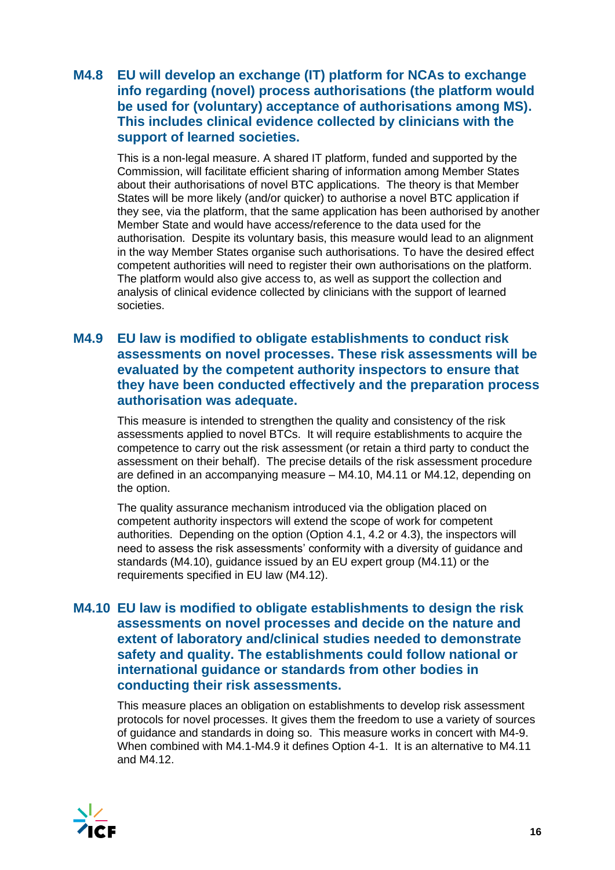### **M4.8 EU will develop an exchange (IT) platform for NCAs to exchange info regarding (novel) process authorisations (the platform would be used for (voluntary) acceptance of authorisations among MS). This includes clinical evidence collected by clinicians with the support of learned societies.**

This is a non-legal measure. A shared IT platform, funded and supported by the Commission, will facilitate efficient sharing of information among Member States about their authorisations of novel BTC applications. The theory is that Member States will be more likely (and/or quicker) to authorise a novel BTC application if they see, via the platform, that the same application has been authorised by another Member State and would have access/reference to the data used for the authorisation. Despite its voluntary basis, this measure would lead to an alignment in the way Member States organise such authorisations. To have the desired effect competent authorities will need to register their own authorisations on the platform. The platform would also give access to, as well as support the collection and analysis of clinical evidence collected by clinicians with the support of learned societies.

### **M4.9 EU law is modified to obligate establishments to conduct risk assessments on novel processes. These risk assessments will be evaluated by the competent authority inspectors to ensure that they have been conducted effectively and the preparation process authorisation was adequate.**

This measure is intended to strengthen the quality and consistency of the risk assessments applied to novel BTCs. It will require establishments to acquire the competence to carry out the risk assessment (or retain a third party to conduct the assessment on their behalf). The precise details of the risk assessment procedure are defined in an accompanying measure – M4.10, M4.11 or M4.12, depending on the option.

The quality assurance mechanism introduced via the obligation placed on competent authority inspectors will extend the scope of work for competent authorities. Depending on the option (Option 4.1, 4.2 or 4.3), the inspectors will need to assess the risk assessments' conformity with a diversity of guidance and standards (M4.10), guidance issued by an EU expert group (M4.11) or the requirements specified in EU law (M4.12).

### **M4.10 EU law is modified to obligate establishments to design the risk assessments on novel processes and decide on the nature and extent of laboratory and/clinical studies needed to demonstrate safety and quality. The establishments could follow national or international guidance or standards from other bodies in conducting their risk assessments.**

This measure places an obligation on establishments to develop risk assessment protocols for novel processes. It gives them the freedom to use a variety of sources of guidance and standards in doing so. This measure works in concert with M4-9. When combined with M4.1-M4.9 it defines Option 4-1. It is an alternative to M4.11 and M4.12.

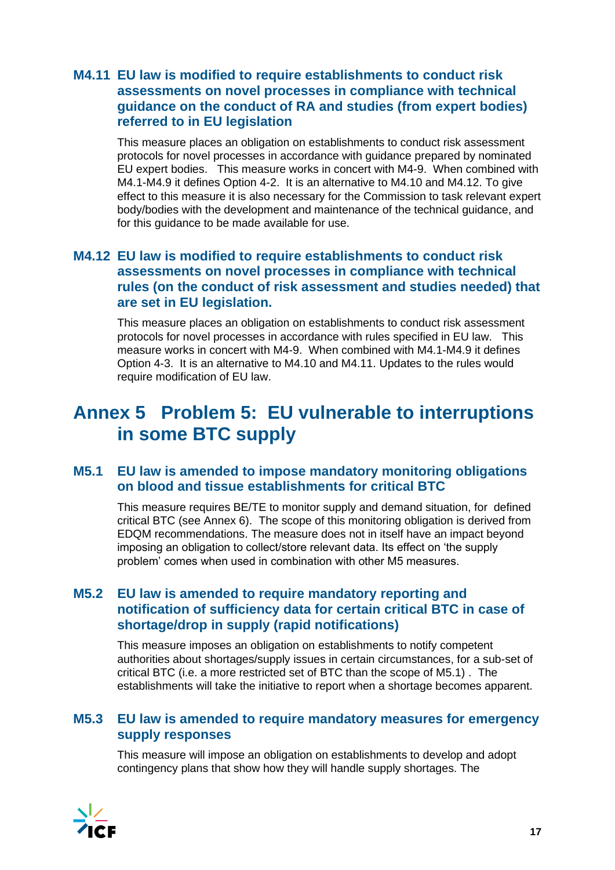### **M4.11 EU law is modified to require establishments to conduct risk assessments on novel processes in compliance with technical guidance on the conduct of RA and studies (from expert bodies) referred to in EU legislation**

<span id="page-16-0"></span>This measure places an obligation on establishments to conduct risk assessment protocols for novel processes in accordance with guidance prepared by nominated EU expert bodies. This measure works in concert with M4-9. When combined with M4.1-M4.9 it defines Option 4-2. It is an alternative to M4.10 and M4.12. To give effect to this measure it is also necessary for the Commission to task relevant expert body/bodies with the development and maintenance of the technical guidance, and for this guidance to be made available for use.

### **M4.12 EU law is modified to require establishments to conduct risk assessments on novel processes in compliance with technical rules (on the conduct of risk assessment and studies needed) that are set in EU legislation.**

This measure places an obligation on establishments to conduct risk assessment protocols for novel processes in accordance with rules specified in EU law. This measure works in concert with M4-9. When combined with M4.1-M4.9 it defines Option 4-3. It is an alternative to M4.10 and M4.11. Updates to the rules would require modification of EU law.

# **Annex 5 Problem 5: EU vulnerable to interruptions in some BTC supply**

### **M5.1 EU law is amended to impose mandatory monitoring obligations on blood and tissue establishments for critical BTC**

This measure requires BE/TE to monitor supply and demand situation, for defined critical BTC (see Annex 6). The scope of this monitoring obligation is derived from EDQM recommendations. The measure does not in itself have an impact beyond imposing an obligation to collect/store relevant data. Its effect on 'the supply problem' comes when used in combination with other M5 measures.

### **M5.2 EU law is amended to require mandatory reporting and notification of sufficiency data for certain critical BTC in case of shortage/drop in supply (rapid notifications)**

This measure imposes an obligation on establishments to notify competent authorities about shortages/supply issues in certain circumstances, for a sub-set of critical BTC (i.e. a more restricted set of BTC than the scope of M5.1) . The establishments will take the initiative to report when a shortage becomes apparent.

### **M5.3 EU law is amended to require mandatory measures for emergency supply responses**

This measure will impose an obligation on establishments to develop and adopt contingency plans that show how they will handle supply shortages. The

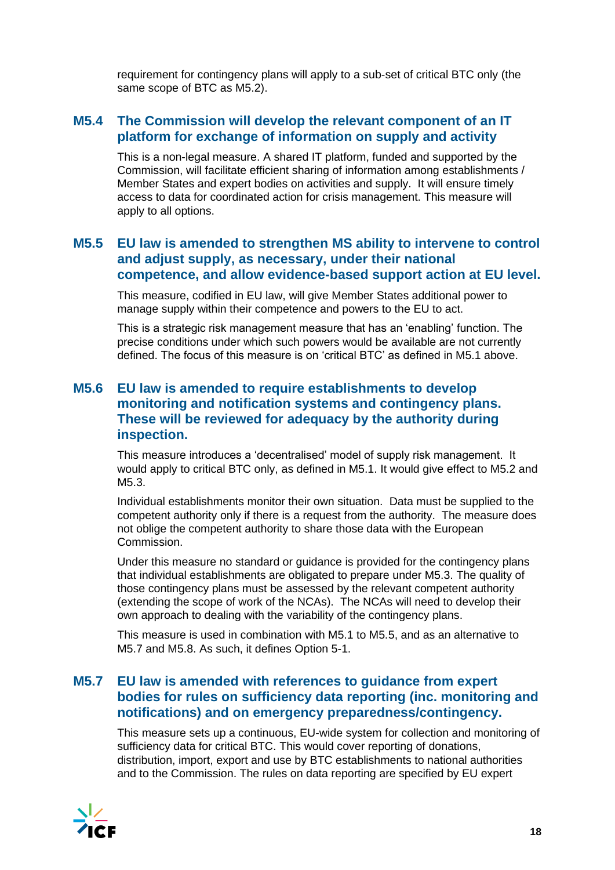requirement for contingency plans will apply to a sub-set of critical BTC only (the same scope of BTC as M5.2).

### **M5.4 The Commission will develop the relevant component of an IT platform for exchange of information on supply and activity**

This is a non-legal measure. A shared IT platform, funded and supported by the Commission, will facilitate efficient sharing of information among establishments / Member States and expert bodies on activities and supply. It will ensure timely access to data for coordinated action for crisis management. This measure will apply to all options.

### **M5.5 EU law is amended to strengthen MS ability to intervene to control and adjust supply, as necessary, under their national competence, and allow evidence-based support action at EU level.**

This measure, codified in EU law, will give Member States additional power to manage supply within their competence and powers to the EU to act.

This is a strategic risk management measure that has an 'enabling' function. The precise conditions under which such powers would be available are not currently defined. The focus of this measure is on 'critical BTC' as defined in M5.1 above.

### **M5.6 EU law is amended to require establishments to develop monitoring and notification systems and contingency plans. These will be reviewed for adequacy by the authority during inspection.**

This measure introduces a 'decentralised' model of supply risk management. It would apply to critical BTC only, as defined in M5.1. It would give effect to M5.2 and M5.3.

Individual establishments monitor their own situation. Data must be supplied to the competent authority only if there is a request from the authority. The measure does not oblige the competent authority to share those data with the European Commission.

Under this measure no standard or guidance is provided for the contingency plans that individual establishments are obligated to prepare under M5.3. The quality of those contingency plans must be assessed by the relevant competent authority (extending the scope of work of the NCAs). The NCAs will need to develop their own approach to dealing with the variability of the contingency plans.

This measure is used in combination with M5.1 to M5.5, and as an alternative to M5.7 and M5.8. As such, it defines Option 5-1.

### **M5.7 EU law is amended with references to guidance from expert bodies for rules on sufficiency data reporting (inc. monitoring and notifications) and on emergency preparedness/contingency.**

This measure sets up a continuous, EU-wide system for collection and monitoring of sufficiency data for critical BTC. This would cover reporting of donations, distribution, import, export and use by BTC establishments to national authorities and to the Commission. The rules on data reporting are specified by EU expert

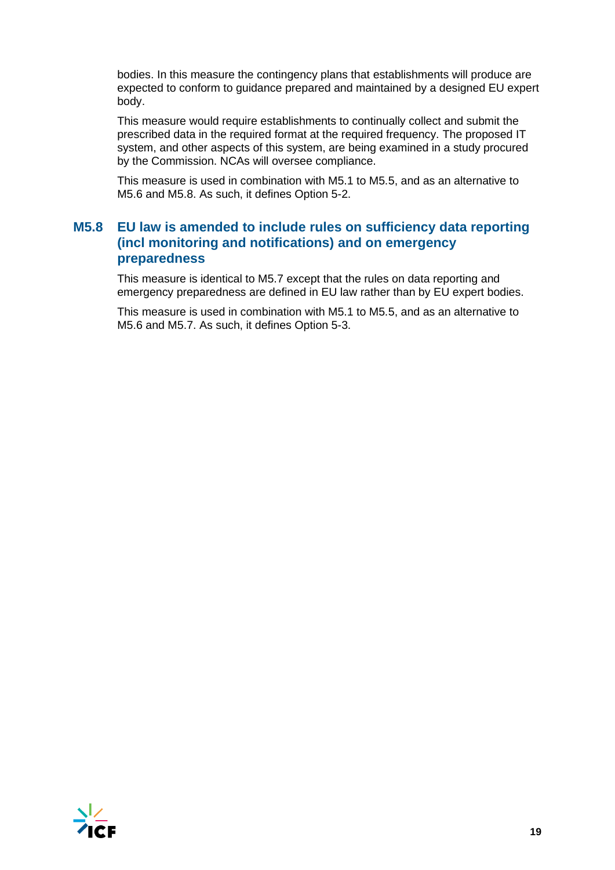bodies. In this measure the contingency plans that establishments will produce are expected to conform to guidance prepared and maintained by a designed EU expert body.

This measure would require establishments to continually collect and submit the prescribed data in the required format at the required frequency. The proposed IT system, and other aspects of this system, are being examined in a study procured by the Commission. NCAs will oversee compliance.

This measure is used in combination with M5.1 to M5.5, and as an alternative to M5.6 and M5.8. As such, it defines Option 5-2.

### **M5.8 EU law is amended to include rules on sufficiency data reporting (incl monitoring and notifications) and on emergency preparedness**

This measure is identical to M5.7 except that the rules on data reporting and emergency preparedness are defined in EU law rather than by EU expert bodies.

This measure is used in combination with M5.1 to M5.5, and as an alternative to M5.6 and M5.7. As such, it defines Option 5-3.

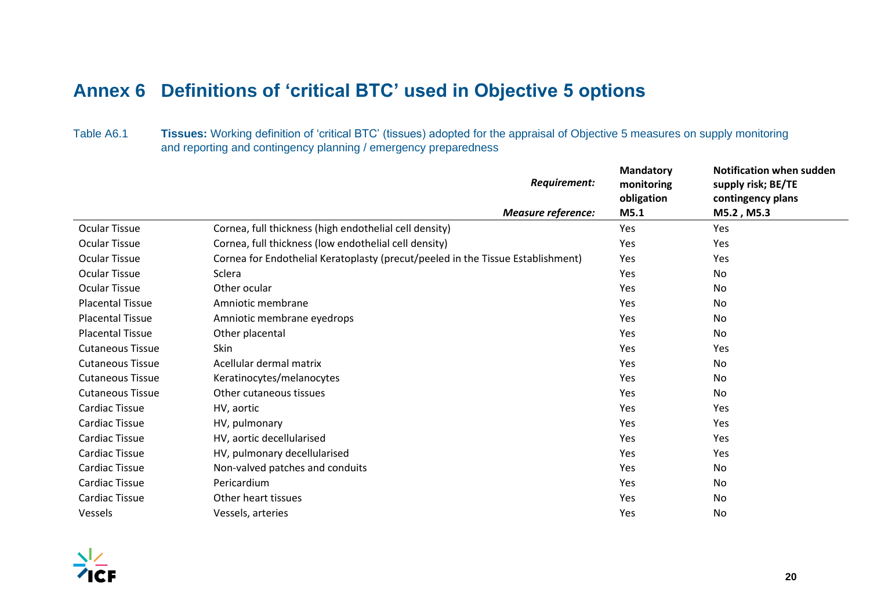# <span id="page-19-0"></span>**Annex 6 Definitions of 'critical BTC' used in Objective 5 options**

Table A6.1 **Tissues:** Working definition of 'critical BTC' (tissues) adopted for the appraisal of Objective 5 measures on supply monitoring and reporting and contingency planning / emergency preparedness

|                         |                                                                                 | Requirement:              | <b>Mandatory</b><br>monitoring | <b>Notification when sudden</b><br>supply risk; BE/TE |
|-------------------------|---------------------------------------------------------------------------------|---------------------------|--------------------------------|-------------------------------------------------------|
|                         |                                                                                 |                           | obligation                     | contingency plans                                     |
|                         |                                                                                 | <b>Measure reference:</b> | M5.1                           | M5.2, M5.3                                            |
| Ocular Tissue           | Cornea, full thickness (high endothelial cell density)                          |                           | Yes                            | Yes                                                   |
| <b>Ocular Tissue</b>    | Cornea, full thickness (low endothelial cell density)                           |                           | Yes                            | Yes                                                   |
| <b>Ocular Tissue</b>    | Cornea for Endothelial Keratoplasty (precut/peeled in the Tissue Establishment) |                           | Yes                            | Yes                                                   |
| <b>Ocular Tissue</b>    | Sclera                                                                          |                           | Yes                            | No                                                    |
| <b>Ocular Tissue</b>    | Other ocular                                                                    |                           | Yes                            | No                                                    |
| <b>Placental Tissue</b> | Amniotic membrane                                                               |                           | Yes                            | No                                                    |
| <b>Placental Tissue</b> | Amniotic membrane eyedrops                                                      |                           | Yes                            | No                                                    |
| <b>Placental Tissue</b> | Other placental                                                                 |                           | Yes                            | No                                                    |
| <b>Cutaneous Tissue</b> | Skin                                                                            |                           | Yes                            | Yes                                                   |
| <b>Cutaneous Tissue</b> | Acellular dermal matrix                                                         |                           | Yes                            | No                                                    |
| <b>Cutaneous Tissue</b> | Keratinocytes/melanocytes                                                       |                           | Yes                            | No                                                    |
| <b>Cutaneous Tissue</b> | Other cutaneous tissues                                                         |                           | Yes                            | No                                                    |
| Cardiac Tissue          | HV, aortic                                                                      |                           | Yes                            | Yes                                                   |
| <b>Cardiac Tissue</b>   | HV, pulmonary                                                                   |                           | Yes                            | Yes                                                   |
| Cardiac Tissue          | HV, aortic decellularised                                                       |                           | Yes                            | Yes                                                   |
| <b>Cardiac Tissue</b>   | HV, pulmonary decellularised                                                    |                           | Yes                            | Yes                                                   |
| Cardiac Tissue          | Non-valved patches and conduits                                                 |                           | Yes                            | No                                                    |
| Cardiac Tissue          | Pericardium                                                                     |                           | Yes                            | No                                                    |
| Cardiac Tissue          | Other heart tissues                                                             |                           | Yes                            | No                                                    |
| Vessels                 | Vessels, arteries                                                               |                           | Yes                            | No                                                    |

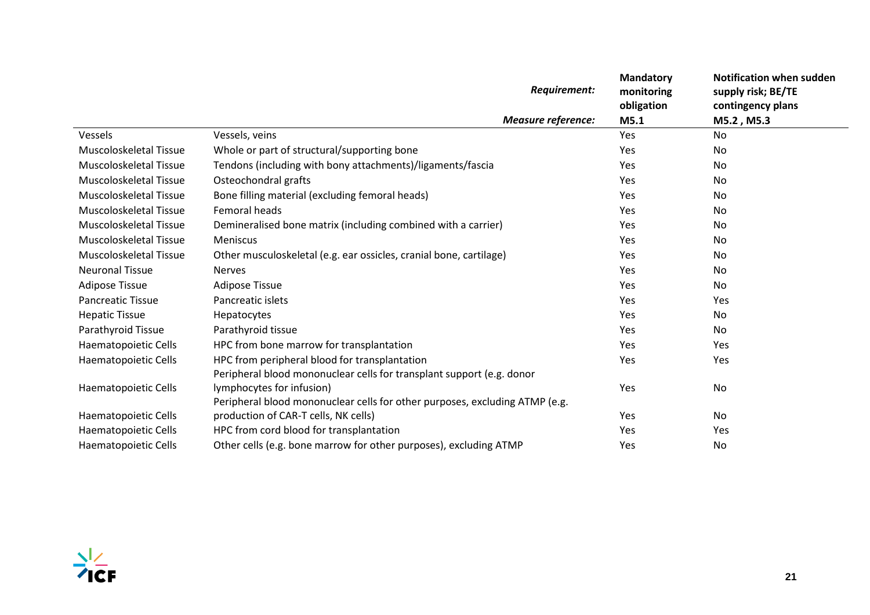|                          | Requirement:                                                                | <b>Mandatory</b><br>monitoring<br>obligation | <b>Notification when sudden</b><br>supply risk; BE/TE<br>contingency plans |
|--------------------------|-----------------------------------------------------------------------------|----------------------------------------------|----------------------------------------------------------------------------|
|                          | <b>Measure reference:</b>                                                   | M5.1                                         | M5.2, M5.3                                                                 |
| Vessels                  | Vessels, veins                                                              | Yes                                          | <b>No</b>                                                                  |
| Muscoloskeletal Tissue   | Whole or part of structural/supporting bone                                 | <b>Yes</b>                                   | No.                                                                        |
| Muscoloskeletal Tissue   | Tendons (including with bony attachments)/ligaments/fascia                  | Yes                                          | No                                                                         |
| Muscoloskeletal Tissue   | Osteochondral grafts                                                        | <b>Yes</b>                                   | No                                                                         |
| Muscoloskeletal Tissue   | Bone filling material (excluding femoral heads)                             | Yes                                          | No                                                                         |
| Muscoloskeletal Tissue   | Femoral heads                                                               | <b>Yes</b>                                   | No                                                                         |
| Muscoloskeletal Tissue   | Demineralised bone matrix (including combined with a carrier)               | Yes                                          | No                                                                         |
| Muscoloskeletal Tissue   | Meniscus                                                                    | Yes                                          | No                                                                         |
| Muscoloskeletal Tissue   | Other musculoskeletal (e.g. ear ossicles, cranial bone, cartilage)          | Yes                                          | No                                                                         |
| <b>Neuronal Tissue</b>   | <b>Nerves</b>                                                               | Yes                                          | No.                                                                        |
| <b>Adipose Tissue</b>    | <b>Adipose Tissue</b>                                                       | Yes                                          | No                                                                         |
| <b>Pancreatic Tissue</b> | Pancreatic islets                                                           | Yes                                          | Yes                                                                        |
| <b>Hepatic Tissue</b>    | Hepatocytes                                                                 | Yes                                          | No.                                                                        |
| Parathyroid Tissue       | Parathyroid tissue                                                          | Yes                                          | No.                                                                        |
| Haematopoietic Cells     | HPC from bone marrow for transplantation                                    | Yes                                          | Yes                                                                        |
| Haematopoietic Cells     | HPC from peripheral blood for transplantation                               | Yes                                          | Yes                                                                        |
|                          | Peripheral blood mononuclear cells for transplant support (e.g. donor       |                                              |                                                                            |
| Haematopoietic Cells     | lymphocytes for infusion)                                                   | Yes                                          | No                                                                         |
|                          | Peripheral blood mononuclear cells for other purposes, excluding ATMP (e.g. |                                              |                                                                            |
| Haematopoietic Cells     | production of CAR-T cells, NK cells)                                        | <b>Yes</b>                                   | No                                                                         |
| Haematopoietic Cells     | HPC from cord blood for transplantation                                     | Yes                                          | Yes                                                                        |
| Haematopoietic Cells     | Other cells (e.g. bone marrow for other purposes), excluding ATMP           | Yes                                          | No                                                                         |